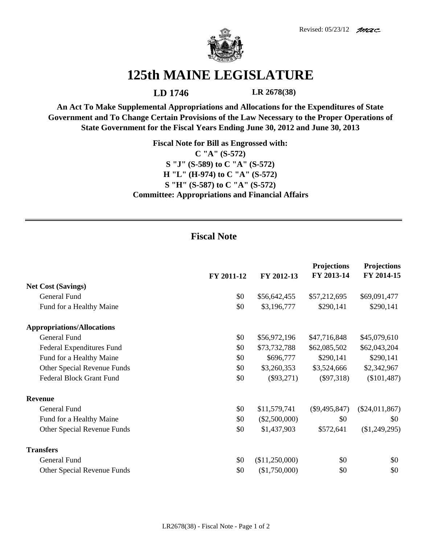



## **125th MAINE LEGISLATURE**

**LD 1746 LR 2678(38)**

**An Act To Make Supplemental Appropriations and Allocations for the Expenditures of State Government and To Change Certain Provisions of the Law Necessary to the Proper Operations of State Government for the Fiscal Years Ending June 30, 2012 and June 30, 2013**

> **Fiscal Note for Bill as Engrossed with: C "A" (S-572) S "J" (S-589) to C "A" (S-572) H "L" (H-974) to C "A" (S-572) S "H" (S-587) to C "A" (S-572) Committee: Appropriations and Financial Affairs**

## **Fiscal Note**

|                                   | FY 2011-12 | FY 2012-13      | <b>Projections</b><br>FY 2013-14 | <b>Projections</b><br>FY 2014-15 |
|-----------------------------------|------------|-----------------|----------------------------------|----------------------------------|
| <b>Net Cost (Savings)</b>         |            |                 |                                  |                                  |
| General Fund                      | \$0        | \$56,642,455    | \$57,212,695                     | \$69,091,477                     |
| Fund for a Healthy Maine          | \$0        | \$3,196,777     | \$290,141                        | \$290,141                        |
| <b>Appropriations/Allocations</b> |            |                 |                                  |                                  |
| General Fund                      | \$0        | \$56,972,196    | \$47,716,848                     | \$45,079,610                     |
| Federal Expenditures Fund         | \$0        | \$73,732,788    | \$62,085,502                     | \$62,043,204                     |
| Fund for a Healthy Maine          | \$0        | \$696,777       | \$290,141                        | \$290,141                        |
| Other Special Revenue Funds       | \$0        | \$3,260,353     | \$3,524,666                      | \$2,342,967                      |
| <b>Federal Block Grant Fund</b>   | \$0        | $(\$93,271)$    | $(\$97,318)$                     | $(\$101,487)$                    |
| <b>Revenue</b>                    |            |                 |                                  |                                  |
| General Fund                      | \$0        | \$11,579,741    | $(\$9,495,847)$                  | $(\$24,011,867)$                 |
| Fund for a Healthy Maine          | \$0        | $(\$2,500,000)$ | \$0                              | \$0                              |
| Other Special Revenue Funds       | \$0        | \$1,437,903     | \$572,641                        | (\$1,249,295)                    |
| <b>Transfers</b>                  |            |                 |                                  |                                  |
| General Fund                      | \$0        | (\$11,250,000)  | \$0                              | \$0                              |
| Other Special Revenue Funds       | \$0        | (\$1,750,000)   | \$0                              | \$0                              |